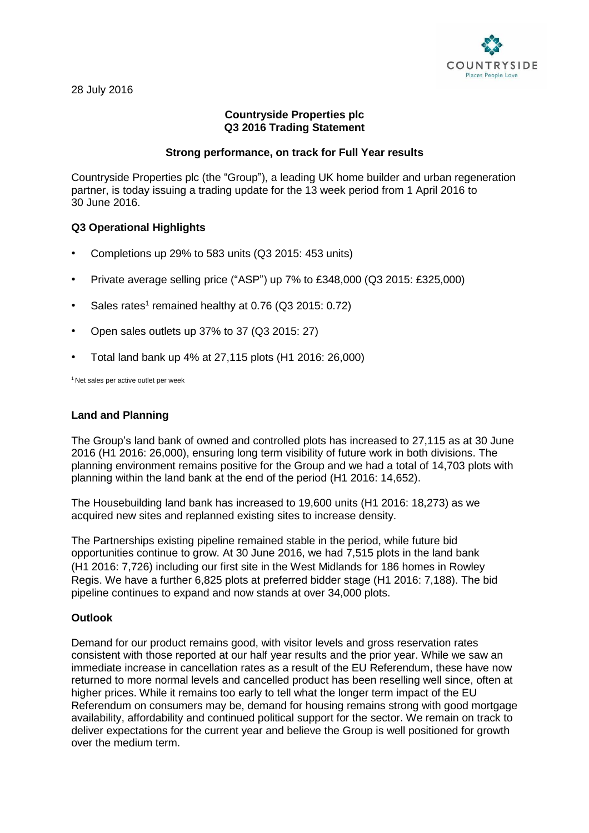

# **Countryside Properties plc Q3 2016 Trading Statement**

#### **Strong performance, on track for Full Year results**

Countryside Properties plc (the "Group"), a leading UK home builder and urban regeneration partner, is today issuing a trading update for the 13 week period from 1 April 2016 to 30 June 2016.

## **Q3 Operational Highlights**

- Completions up 29% to 583 units (Q3 2015: 453 units)
- Private average selling price ("ASP") up 7% to £348,000 (Q3 2015: £325,000)
- Sales rates<sup>1</sup> remained healthy at 0.76 (Q3 2015: 0.72)
- Open sales outlets up 37% to 37 (Q3 2015: 27)
- Total land bank up 4% at 27,115 plots (H1 2016: 26,000)

<sup>1</sup> Net sales per active outlet per week

#### **Land and Planning**

The Group's land bank of owned and controlled plots has increased to 27,115 as at 30 June 2016 (H1 2016: 26,000), ensuring long term visibility of future work in both divisions. The planning environment remains positive for the Group and we had a total of 14,703 plots with planning within the land bank at the end of the period (H1 2016: 14,652).

The Housebuilding land bank has increased to 19,600 units (H1 2016: 18,273) as we acquired new sites and replanned existing sites to increase density.

The Partnerships existing pipeline remained stable in the period, while future bid opportunities continue to grow. At 30 June 2016, we had 7,515 plots in the land bank (H1 2016: 7,726) including our first site in the West Midlands for 186 homes in Rowley Regis. We have a further 6,825 plots at preferred bidder stage (H1 2016: 7,188). The bid pipeline continues to expand and now stands at over 34,000 plots.

#### **Outlook**

Demand for our product remains good, with visitor levels and gross reservation rates consistent with those reported at our half year results and the prior year. While we saw an immediate increase in cancellation rates as a result of the EU Referendum, these have now returned to more normal levels and cancelled product has been reselling well since, often at higher prices. While it remains too early to tell what the longer term impact of the EU Referendum on consumers may be, demand for housing remains strong with good mortgage availability, affordability and continued political support for the sector. We remain on track to deliver expectations for the current year and believe the Group is well positioned for growth over the medium term.